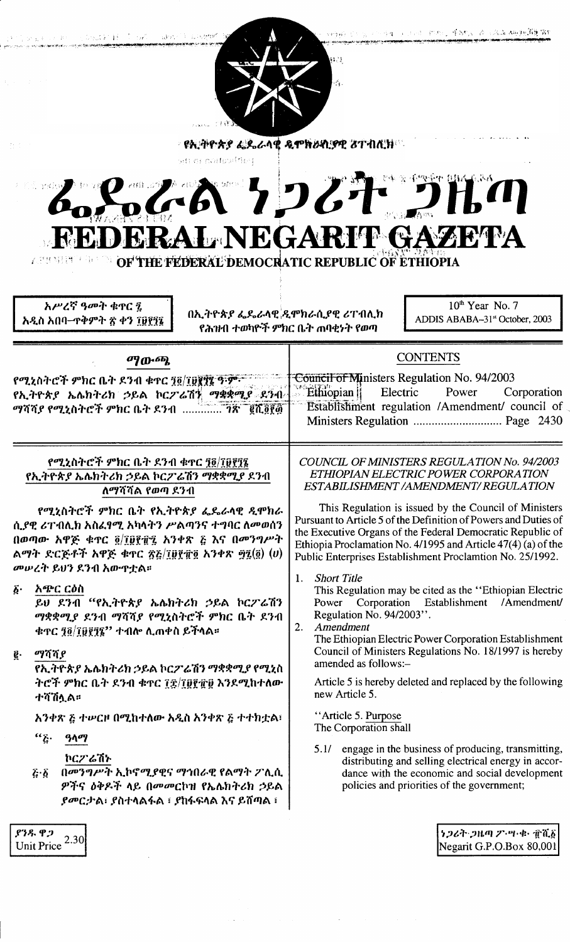| アートル かいしょうしょう かいしゅう おりん あいしゃ<br>Doput \$1 \$3 millions in adopted \$1 substant<br>81. I<br>经国际公司 计分类<br>$\mathcal{A}_1$ .<br>∘ የኢትዮጵያ ፌዴራላዊ ዲሞክራሲያዊ <b>ፘ</b> ተብሊክ©<br>数数据<br>ចុង គ្មុរ សមុស្សបើស្រុ<br>84 % 4 2 4 2 3 4 4 5 4 5 4 5 4 5 4 5<br>。とおうしれつ<br><b>FEDERAL NEGARIT GAZETA</b>                                                                                                                                                                                                                                                                                             |                                                                                                                                                                                                                                                                                                                                                                                                                                                                                                                                                                                                                                                                                                                                                                                                                                                                                                                                     |
|-------------------------------------------------------------------------------------------------------------------------------------------------------------------------------------------------------------------------------------------------------------------------------------------------------------------------------------------------------------------------------------------------------------------------------------------------------------------------------------------------------------------------------------------------------------------------------------|-------------------------------------------------------------------------------------------------------------------------------------------------------------------------------------------------------------------------------------------------------------------------------------------------------------------------------------------------------------------------------------------------------------------------------------------------------------------------------------------------------------------------------------------------------------------------------------------------------------------------------------------------------------------------------------------------------------------------------------------------------------------------------------------------------------------------------------------------------------------------------------------------------------------------------------|
| OF THE FEDERAL DEMOCRATIC REPUBLIC OF ETHIOPIA<br>人名埃特特 医身外的<br>አሥረኛ ዓመት ቁጥር ፤<br>በኢትዮጵያ ፌዴራላዊ ዲሞክራሲያዊ ሪፐብሊክ<br>አዲስ አበባ–ጥቅምት ጽ ቀን ፲፱፻፺፯                                                                                                                                                                                                                                                                                                                                                                                                                                             | $10th$ Year No. 7<br>ADDIS ABABA-31st October, 2003<br>የሕዝብ ተወካዮች ምክር ቤት ጠባቂነት የወጣ                                                                                                                                                                                                                                                                                                                                                                                                                                                                                                                                                                                                                                                                                                                                                                                                                                                  |
| ማውጫ<br>የሚኒስትሮች ምክር ቤት ደንብ ቁጥር ፺፬/፲፱፪፻፮ ዓ፡ም፡ <sup>-</sup><br>የኢትዮጵያ ኤሌክትሪክ ኃይል ኮርፖሬሽኝ ማቋቋሚያ ደንብ<br>ማሻሻያ የሚኒስትሮች ምክር ቤት ደንብ  ንጽ ` ፪ሺ፬፻፴`                                                                                                                                                                                                                                                                                                                                                                                                                                              | <b>CONTENTS</b><br>Council of Ministers Regulation No. 94/2003<br><b>Ethiopian</b><br>Electric<br>Power<br>Corporation<br>Establishment regulation /Amendment/ council of                                                                                                                                                                                                                                                                                                                                                                                                                                                                                                                                                                                                                                                                                                                                                           |
| የሚኒስትሮች ምክር ቤት ደንብ ቁዋር ፺፬/፲፱፻፺፯<br>የኢትዮጵያ ኤሌክትሪክ ኃይል ኮርፖሬሽን ማቋቋሚያ ደንብ<br>ለማሻሻል የወጣ ደንብ<br>የሚኒስትሮች ምክር ቤት የኢትዮጵያ ፌዴራላዊ ዲሞክራ<br>ሲያዊ ሪፐብሊክ አስፈፃሚ አካላትን ሥልጣንና ተግባር ለመወሰን<br>በወጣው አዋጅ ቁጥር ፬/፲፱፻፹፯ አንቀጽ ፭ እና በመንግሥት<br>ልማት ድርጅቶች አዋጅ ቁጥር ፳፭/፲፱፻፹፬ አንቀጽ ፵፯(፬) $(v)$<br>መሠረት ይህን ደንብ አውዋቷል።<br>አጭር ርዕስ<br>$\boldsymbol{\delta}$ .<br>ይህ ደንብ "የኢትዮጵያ ኤሌክትሪክ ኃይል ኮርፖሬሽን<br>ማቋቋሚያ ደንብ ማሻሻያ የሚኒስትሮች ምክር ቤት ደንብ<br>ቁዋር ፺፬/፲፱፻፺፮'' ተብሎ ሊጠቀስ ይችላል፡፡<br>ማሻሻያ<br>ĝ.<br>የኢትዮጵያ ኤሌክትሪክ ኃይል ኮርፖሬሽን ማቋቋሚያ የሚኒስ<br>ትሮች ምክር ቤት ደንብ ቁዋር ፲፰/፲፱፻፹፱ እንደሚከተለው<br>ተሻሽሏል።<br>አንቀጽ ፩ ተሥርዞ በሚከተለው አዲስ አንቀጽ ፩ ተተክቷል፣ | <b>COUNCIL OF MINISTERS REGULATION No. 94/2003</b><br>ETHIOPIAN ELECTRIC POWER CORPORATION<br>ESTABILISHMENT / AMENDMENT / REGULATION<br>This Regulation is issued by the Council of Ministers<br>Pursuant to Article 5 of the Definition of Powers and Duties of<br>the Executive Organs of the Federal Democratic Republic of<br>Ethiopia Proclamation No. 4/1995 and Article 47(4) (a) of the<br>Public Enterprises Establishment Proclamtion No. 25/1992.<br><b>Short Title</b><br>1.<br>This Regulation may be cited as the "Ethiopian Electric<br>Corporation Establishment<br>/Amendment/<br>Power<br>Regulation No. 94/2003".<br>Amendment<br>2.<br>The Ethiopian Electric Power Corporation Establishment<br>Council of Ministers Regulations No. 18/1997 is hereby<br>amended as follows:-<br>Article 5 is hereby deleted and replaced by the following<br>new Article 5.<br>"Article 5. Purpose<br>The Corporation shall |
| $``\ddot{\xi}\cdot$<br>ዓላማ<br>ኮርፖሬሽኑ<br>በመንግሥት ኢኮኖሚያዊና ማኅበራዊ የልማት ፖሊሲ<br>$\vec{c} \cdot \vec{b}$<br>ዎችና ዕቅዶች ላይ በመመርኮዝ የኤሌክትሪክ ኃይል<br><i>ያመርታ</i> ል፡ ያስተላልፋል ፡ ያከፋፍላል እና ይሸጣል ፡<br>933.92<br>2.30<br><b>Unit Price</b>                                                                                                                                                                                                                                                                                                                                                              | 5.1/ engage in the business of producing, transmitting,<br>distributing and selling electrical energy in accor-<br>dance with the economic and social development<br>policies and priorities of the government;<br>ነጋሪት ጋዜጣ ፖ・ሣ・ቁ・ ፹ሺ፩<br>Negarit G.P.O.Box 80,001                                                                                                                                                                                                                                                                                                                                                                                                                                                                                                                                                                                                                                                                  |